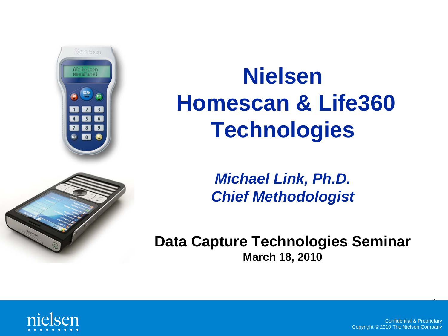

## **Nielsen Homescan & Life360 Technologies**



*Michael Link, Ph.D. Chief Methodologist*

**Data Capture Technologies Seminar March 18, 2010**



Confidential & Proprietary Copyright © 2010 The Nielsen Company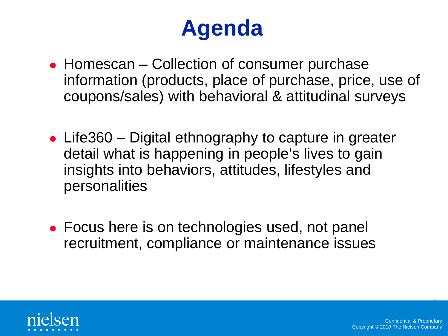#### **Agenda**

- Homescan Collection of consumer purchase information (products, place of purchase, price, use of coupons/sales) with behavioral & attitudinal surveys
- Life360 Digital ethnography to capture in greater detail what is happening in people's lives to gain insights into behaviors, attitudes, lifestyles and personalities
- Focus here is on technologies used, not panel recruitment, compliance or maintenance issues



 $\overline{\phantom{0}}$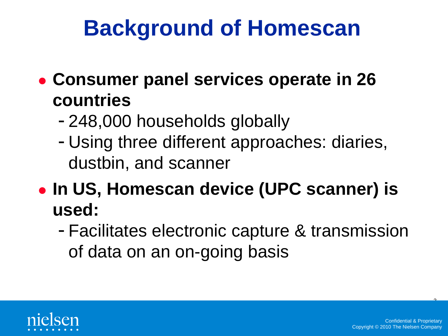#### **Background of Homescan**

- **Consumer panel services operate in 26 countries**
	- 248,000 households globally
	- Using three different approaches: diaries, dustbin, and scanner
- **In US, Homescan device (UPC scanner) is used:**
	- Facilitates electronic capture & transmission of data on an on-going basis



 $\overline{ }$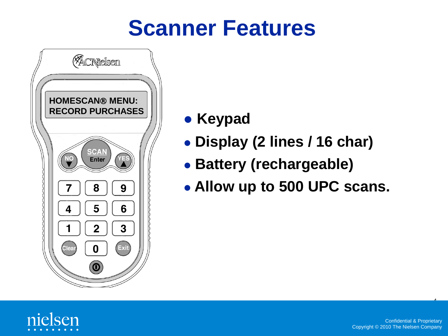#### **Scanner Features**



- **Keypad**
- **Display (2 lines / 16 char)**
- **Battery (rechargeable)**
- **Allow up to 500 UPC scans.**



 $\overline{a}$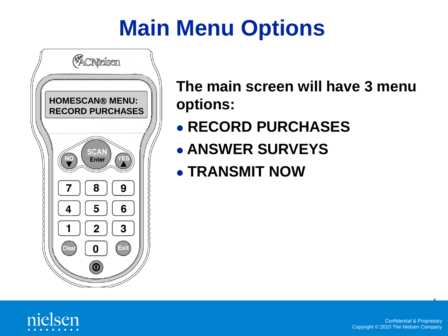## **Main Menu Options**



**The main screen will have 3 menu options:**

- **RECORD PURCHASES**
- **ANSWER SURVEYS**
- **TRANSMIT NOW**

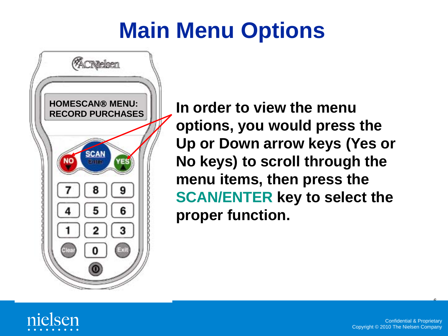#### **Main Menu Options**



**In order to view the menu options, you would press the Up or Down arrow keys (Yes or No keys) to scroll through the menu items, then press the SCAN/ENTER key to select the proper function.**



 $\mathbf{r}$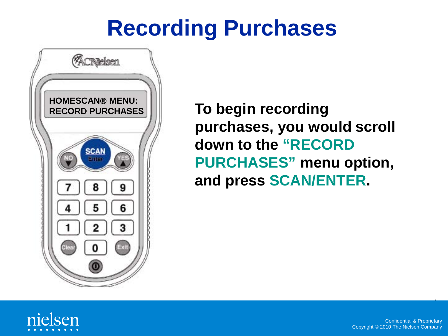

**To begin recording purchases, you would scroll down to the "RECORD PURCHASES" menu option, and press SCAN/ENTER.**

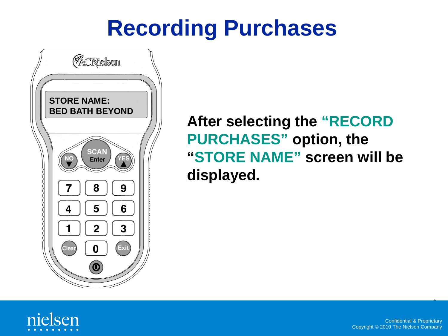

**After selecting the "RECORD PURCHASES" option, the "STORE NAME" screen will be displayed.**

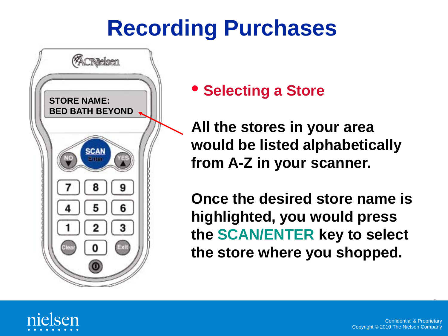

• **Selecting a Store**

**All the stores in your area would be listed alphabetically from A-Z in your scanner.**

**Once the desired store name is highlighted, you would press the SCAN/ENTER key to select the store where you shopped.** 

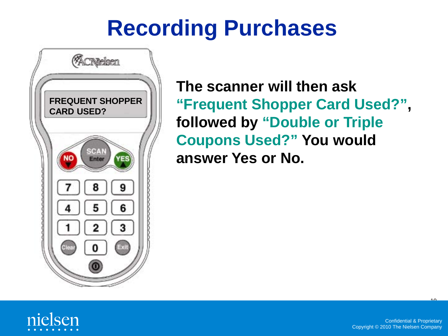

**The scanner will then ask "Frequent Shopper Card Used?", followed by "Double or Triple Coupons Used?" You would answer Yes or No.**

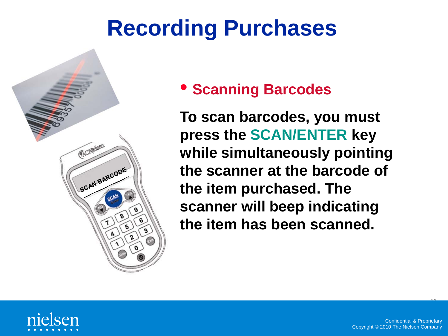

• **Scanning Barcodes**

**To scan barcodes, you must press the SCAN/ENTER key while simultaneously pointing the scanner at the barcode of the item purchased. The scanner will beep indicating the item has been scanned.**

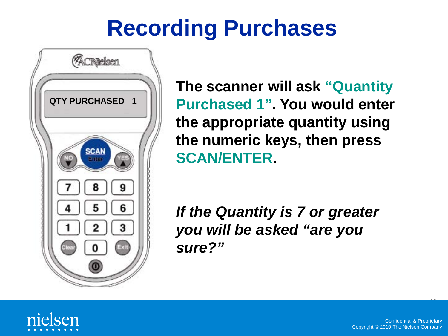

**The scanner will ask "Quantity Purchased 1". You would enter the appropriate quantity using the numeric keys, then press SCAN/ENTER.**

*If the Quantity is 7 or greater you will be asked "are you sure?"*

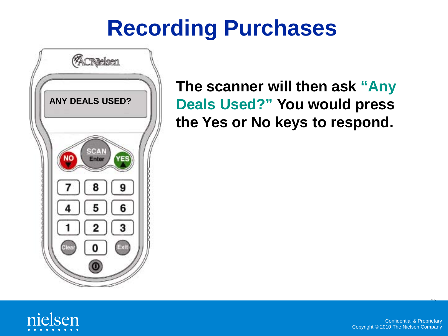

**The scanner will then ask "Any Deals Used?" You would press the Yes or No keys to respond.**

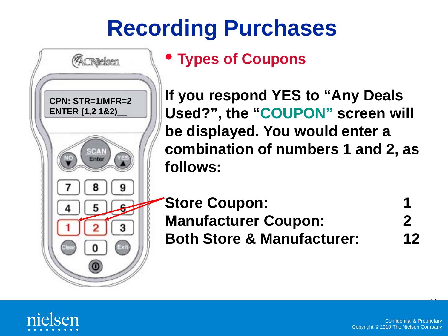

#### • **Types of Coupons**

**If you respond YES to "Any Deals Used?", the "COUPON" screen will be displayed. You would enter a combination of numbers 1 and 2, as follows:** 

**Store Coupon: Manufacturer Coupon: 2 Both Store & Manufacturer: 12**



 $^{\frac{44}{14}}$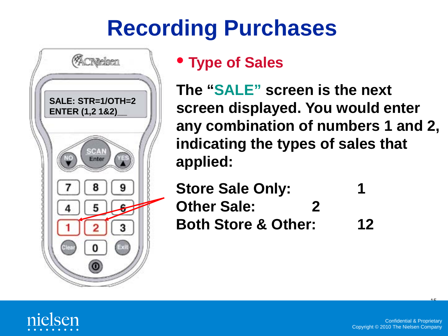

#### • **Type of Sales**

**The "SALE" screen is the next screen displayed. You would enter any combination of numbers 1 and 2, indicating the types of sales that applied:** 

**Store Sale Only: 1 Other Sale: 2 Both Store & Other: 12**

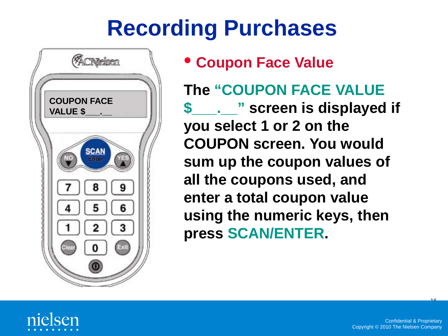

• **Coupon Face Value**

**The "COUPON FACE VALUE \$\_\_\_.\_\_" screen is displayed if you select 1 or 2 on the COUPON screen. You would sum up the coupon values of all the coupons used, and enter a total coupon value using the numeric keys, then press SCAN/ENTER.**

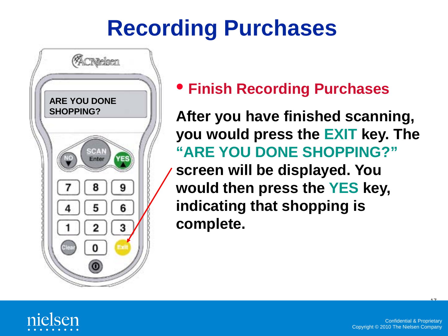

• **Finish Recording Purchases**

**After you have finished scanning, you would press the EXIT key. The "ARE YOU DONE SHOPPING?"**

**screen will be displayed. You would then press the YES key, indicating that shopping is complete.**

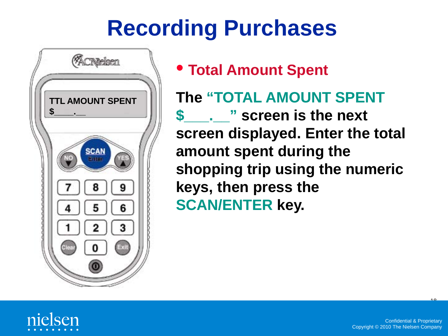

• **Total Amount Spent**

**The "TOTAL AMOUNT SPENT \$\_\_\_.\_\_" screen is the next screen displayed. Enter the total amount spent during the shopping trip using the numeric keys, then press the SCAN/ENTER key.** 

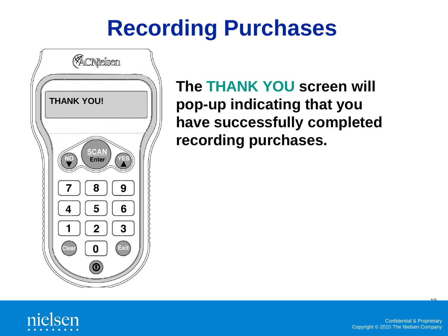

**The THANK YOU screen will pop-up indicating that you have successfully completed recording purchases.**

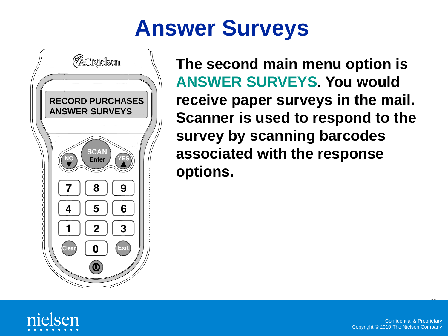#### **Answer Surveys**



**The second main menu option is ANSWER SURVEYS. You would receive paper surveys in the mail. Scanner is used to respond to the survey by scanning barcodes associated with the response options.** 



 $\mathcal{P}^{\bullet}$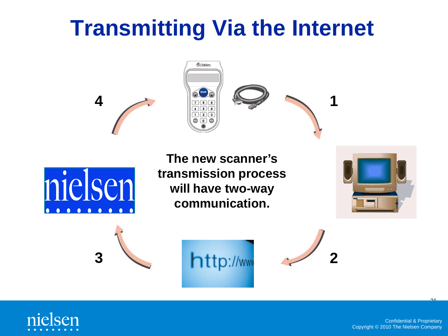#### **Transmitting Via the Internet**





**The new scanner's transmission process will have two-way communication.**











Confidential & Proprietary Copyright © 2010 The Nielsen Company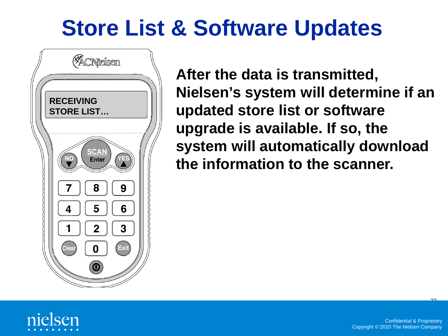#### **Store List & Software Updates**



**After the data is transmitted, Nielsen's system will determine if an updated store list or software upgrade is available. If so, the system will automatically download the information to the scanner.** 



 $\mathcal{P}^{\bullet}$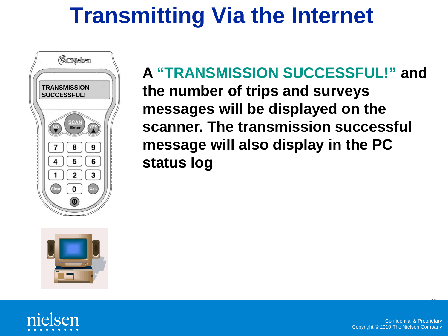#### **Transmitting Via the Internet**



**A "TRANSMISSION SUCCESSFUL!" and the number of trips and surveys messages will be displayed on the scanner. The transmission successful message will also display in the PC status log**





 $\mathcal{P}^{\bullet}$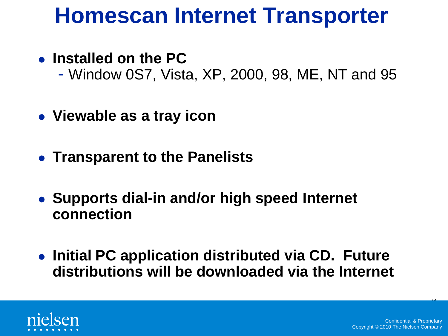#### **Homescan Internet Transporter**

- **Installed on the PC**
	- Window 0S7, Vista, XP, 2000, 98, ME, NT and 95
- **Viewable as a tray icon**
- **Transparent to the Panelists**
- **Supports dial-in and/or high speed Internet connection**
- **Initial PC application distributed via CD. Future distributions will be downloaded via the Internet**

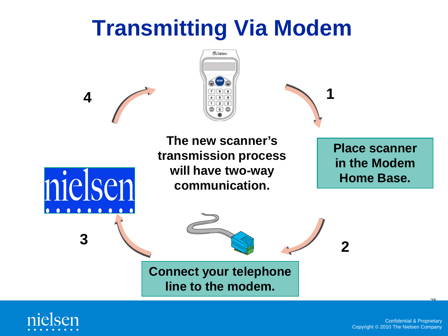#### **Transmitting Via Modem**



**1**

**The new scanner's transmission process will have two-way communication.**

**Place scanner in the Modem Home Base.**

**Connect your telephone line to the modem.**

**<sup>2</sup> <sup>3</sup>**



**4**

nielsen

 $\begin{array}{ccccccccccccccccc} \bullet & \bullet & \bullet & \bullet & \bullet \end{array}$ 

 $\begin{array}{ccccccccccccccccc} \bullet & \bullet & \bullet & \bullet & \bullet & \bullet & \bullet \end{array}$ 

 $\mathcal{P}$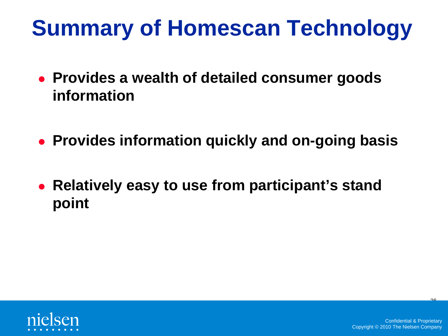## **Summary of Homescan Technology**

- **Provides a wealth of detailed consumer goods information**
- **Provides information quickly and on-going basis**
- **Relatively easy to use from participant's stand point**



 $\mathcal{P}$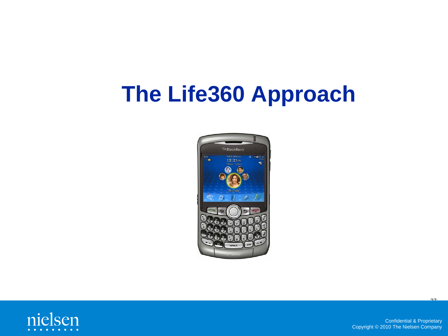#### **The Life360 Approach**





Confidential & Proprietary Copyright © 2010 The Nielsen Company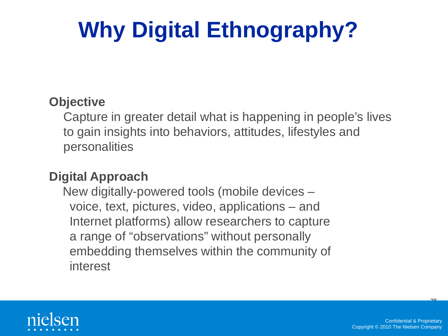# **Why Digital Ethnography?**

#### **Objective**

Capture in greater detail what is happening in people's lives to gain insights into behaviors, attitudes, lifestyles and personalities

#### **Digital Approach**

New digitally-powered tools (mobile devices – voice, text, pictures, video, applications – and Internet platforms) allow researchers to capture a range of "observations" without personally embedding themselves within the community of interest



 $\mathsf{P}^{\mathsf{O}}$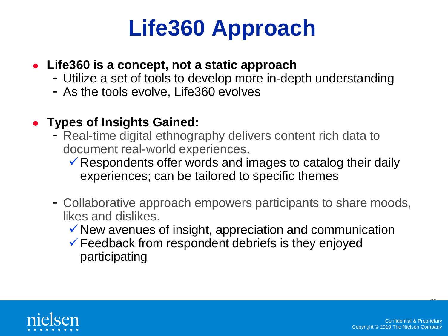#### **Life360 Approach**

#### **Life360 is a concept, not a static approach**

- Utilize a set of tools to develop more in-depth understanding
- As the tools evolve, Life360 evolves

#### **Types of Insights Gained:**

- Real-time digital ethnography delivers content rich data to document real-world experiences.
	- $\checkmark$  Respondents offer words and images to catalog their daily experiences; can be tailored to specific themes
- Collaborative approach empowers participants to share moods, likes and dislikes.
	- $\checkmark$  New avenues of insight, appreciation and communication
	- $\checkmark$  Feedback from respondent debriefs is they enjoyed participating



 $\mathcal{P}$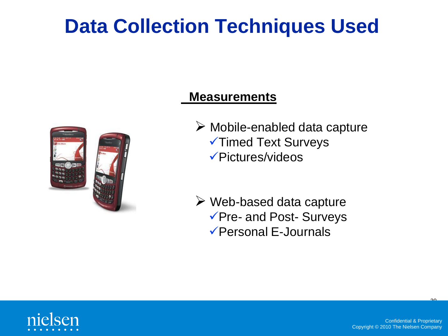#### **Data Collection Techniques Used**



#### **Measurements**

- $\triangleright$  Mobile-enabled data capture **VIImed Text Surveys** Pictures/videos
- $\triangleright$  Web-based data capture Pre- and Post- Surveys Personal E-Journals



 $\mathcal{P}^{\bullet}$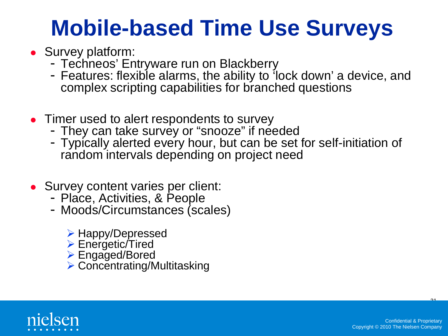#### **Mobile-based Time Use Surveys**

- Survey platform:
	- Techneos' Entryware run on Blackberry
	- Features: flexible alarms, the ability to 'lock down' a device, and complex scripting capabilities for branched questions
- Timer used to alert respondents to survey
	- They can take survey or "snooze" if needed
	- Typically alerted every hour, but can be set for self-initiation of random intervals depending on project need
- Survey content varies per client:
	- Place, Activities, & People
	- Moods/Circumstances (scales)
		- Happy/Depressed
		- **► Energetic/Tired**
		- Engaged/Bored
		- **▶ Concentrating/Multitasking**

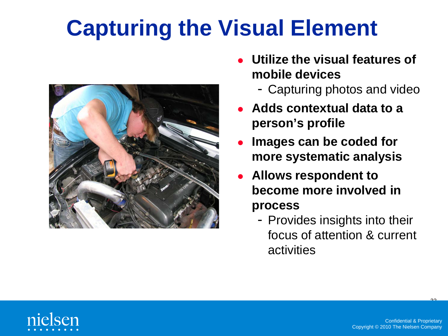## **Capturing the Visual Element**



- **Utilize the visual features of mobile devices**
	- Capturing photos and video
- **Adds contextual data to a person's profile**
- **Images can be coded for more systematic analysis**
- **Allows respondent to become more involved in process**
	- Provides insights into their focus of attention & current activities



 $\mathcal{P}^{\bullet}$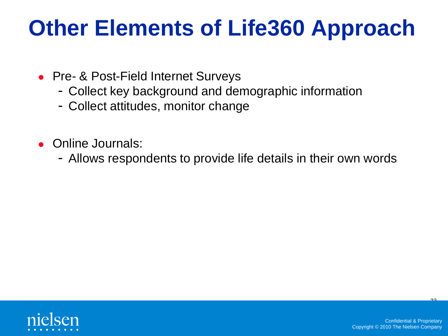#### **Other Elements of Life360 Approach**

- Pre- & Post-Field Internet Surveys
	- Collect key background and demographic information
	- Collect attitudes, monitor change
- Online Journals:
	- Allows respondents to provide life details in their own words



<u>ንግ</u>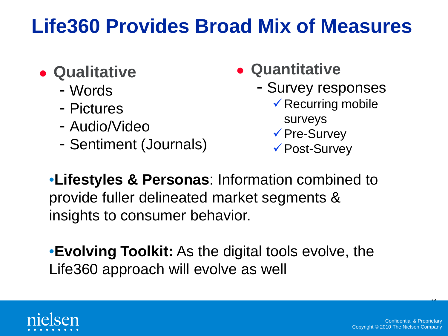#### **Life360 Provides Broad Mix of Measures**

- **Qualitative** 
	- Words
	- Pictures
	- Audio/Video
	- Sentiment (Journals)
- **Quantitative**
	- Survey responses
		- $\checkmark$  Recurring mobile
			- surveys
		- **√ Pre-Survey**
		- Post-Survey

•**Lifestyles & Personas**: Information combined to provide fuller delineated market segments & insights to consumer behavior.

•**Evolving Toolkit:** As the digital tools evolve, the Life360 approach will evolve as well